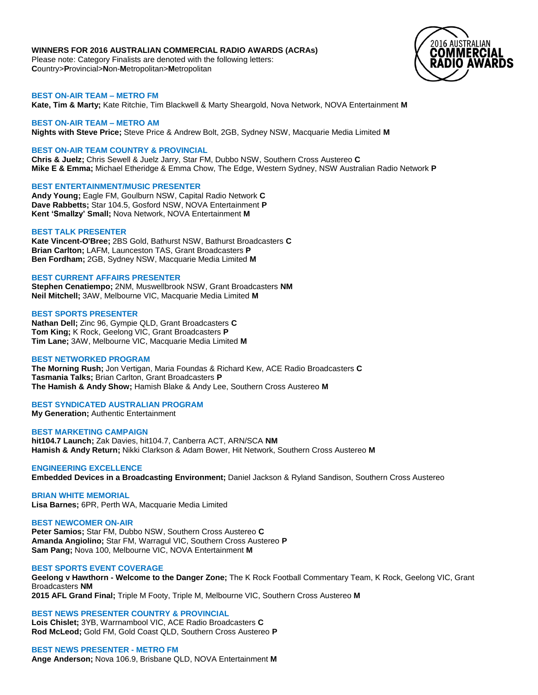# **WINNERS FOR 2016 AUSTRALIAN COMMERCIAL RADIO AWARDS (ACRAs)**

Please note: Category Finalists are denoted with the following letters: **C**ountry>**P**rovincial>**N**on-**M**etropolitan>**M**etropolitan



### **BEST ON-AIR TEAM – METRO FM**

**Kate, Tim & Marty;** Kate Ritchie, Tim Blackwell & Marty Sheargold, Nova Network, NOVA Entertainment **M**

### **BEST ON-AIR TEAM – METRO AM**

**Nights with Steve Price;** Steve Price & Andrew Bolt, 2GB, Sydney NSW, Macquarie Media Limited **M**

### **BEST ON-AIR TEAM COUNTRY & PROVINCIAL**

**Chris & Juelz;** Chris Sewell & Juelz Jarry, Star FM, Dubbo NSW, Southern Cross Austereo **C Mike E & Emma;** Michael Etheridge & Emma Chow, The Edge, Western Sydney, NSW Australian Radio Network **P**

### **BEST ENTERTAINMENT/MUSIC PRESENTER**

**Andy Young;** Eagle FM, Goulburn NSW, Capital Radio Network **C Dave Rabbetts;** Star 104.5, Gosford NSW, NOVA Entertainment **P Kent 'Smallzy' Small;** Nova Network, NOVA Entertainment **M**

### **BEST TALK PRESENTER**

**Kate Vincent-O'Bree;** 2BS Gold, Bathurst NSW, Bathurst Broadcasters **C Brian Carlton;** LAFM, Launceston TAS, Grant Broadcasters **P Ben Fordham;** 2GB, Sydney NSW, Macquarie Media Limited **M**

# **BEST CURRENT AFFAIRS PRESENTER**

**Stephen Cenatiempo;** 2NM, Muswellbrook NSW, Grant Broadcasters **NM Neil Mitchell;** 3AW, Melbourne VIC, Macquarie Media Limited **M**

### **BEST SPORTS PRESENTER**

**Nathan Dell;** Zinc 96, Gympie QLD, Grant Broadcasters **C Tom King;** K Rock, Geelong VIC, Grant Broadcasters **P Tim Lane;** 3AW, Melbourne VIC, Macquarie Media Limited **M**

# **BEST NETWORKED PROGRAM**

**The Morning Rush;** Jon Vertigan, Maria Foundas & Richard Kew, ACE Radio Broadcasters **C Tasmania Talks;** Brian Carlton, Grant Broadcasters **P The Hamish & Andy Show;** Hamish Blake & Andy Lee, Southern Cross Austereo **M**

### **BEST SYNDICATED AUSTRALIAN PROGRAM**

**My Generation;** Authentic Entertainment

**BEST MARKETING CAMPAIGN hit104.7 Launch;** Zak Davies, hit104.7, Canberra ACT, ARN/SCA **NM Hamish & Andy Return;** Nikki Clarkson & Adam Bower, Hit Network, Southern Cross Austereo **M**

# **ENGINEERING EXCELLENCE**

**Embedded Devices in a Broadcasting Environment;** Daniel Jackson & Ryland Sandison, Southern Cross Austereo

**BRIAN WHITE MEMORIAL Lisa Barnes;** 6PR, Perth WA, Macquarie Media Limited

**BEST NEWCOMER ON-AIR Peter Samios;** Star FM, Dubbo NSW, Southern Cross Austereo **C Amanda Angiolino;** Star FM, Warragul VIC, Southern Cross Austereo **P Sam Pang;** Nova 100, Melbourne VIC, NOVA Entertainment **M**

### **BEST SPORTS EVENT COVERAGE**

**Geelong v Hawthorn - Welcome to the Danger Zone;** The K Rock Football Commentary Team, K Rock, Geelong VIC, Grant Broadcasters **NM**

**2015 AFL Grand Final;** Triple M Footy, Triple M, Melbourne VIC, Southern Cross Austereo **M**

**BEST NEWS PRESENTER COUNTRY & PROVINCIAL Lois Chislet;** 3YB, Warrnambool VIC, ACE Radio Broadcasters **C Rod McLeod;** Gold FM, Gold Coast QLD, Southern Cross Austereo **P**

**BEST NEWS PRESENTER - METRO FM Ange Anderson;** Nova 106.9, Brisbane QLD, NOVA Entertainment **M**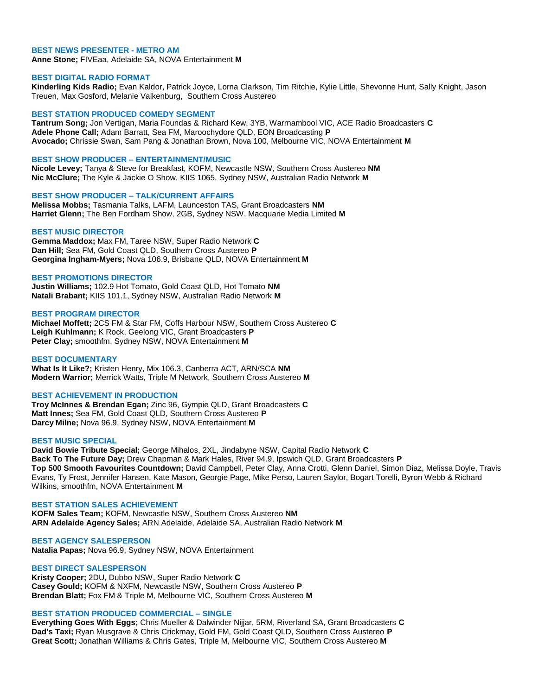### **BEST NEWS PRESENTER - METRO AM**

**Anne Stone;** FIVEaa, Adelaide SA, NOVA Entertainment **M**

### **BEST DIGITAL RADIO FORMAT**

**Kinderling Kids Radio;** Evan Kaldor, Patrick Joyce, Lorna Clarkson, Tim Ritchie, Kylie Little, Shevonne Hunt, Sally Knight, Jason Treuen, Max Gosford, Melanie Valkenburg, Southern Cross Austereo

#### **BEST STATION PRODUCED COMEDY SEGMENT**

**Tantrum Song;** Jon Vertigan, Maria Foundas & Richard Kew, 3YB, Warrnambool VIC, ACE Radio Broadcasters **C Adele Phone Call;** Adam Barratt, Sea FM, Maroochydore QLD, EON Broadcasting **P Avocado;** Chrissie Swan, Sam Pang & Jonathan Brown, Nova 100, Melbourne VIC, NOVA Entertainment **M**

#### **BEST SHOW PRODUCER – ENTERTAINMENT/MUSIC**

**Nicole Levey;** Tanya & Steve for Breakfast, KOFM, Newcastle NSW, Southern Cross Austereo **NM Nic McClure;** The Kyle & Jackie O Show, KIIS 1065, Sydney NSW, Australian Radio Network **M**

#### **BEST SHOW PRODUCER – TALK/CURRENT AFFAIRS**

**Melissa Mobbs;** Tasmania Talks, LAFM, Launceston TAS, Grant Broadcasters **NM Harriet Glenn;** The Ben Fordham Show, 2GB, Sydney NSW, Macquarie Media Limited **M**

### **BEST MUSIC DIRECTOR**

**Gemma Maddox;** Max FM, Taree NSW, Super Radio Network **C Dan Hill;** Sea FM, Gold Coast QLD, Southern Cross Austereo **P Georgina Ingham-Myers;** Nova 106.9, Brisbane QLD, NOVA Entertainment **M**

#### **BEST PROMOTIONS DIRECTOR**

**Justin Williams;** 102.9 Hot Tomato, Gold Coast QLD, Hot Tomato **NM Natali Brabant;** KIIS 101.1, Sydney NSW, Australian Radio Network **M**

# **BEST PROGRAM DIRECTOR**

**Michael Moffett;** 2CS FM & Star FM, Coffs Harbour NSW, Southern Cross Austereo **C Leigh Kuhlmann;** K Rock, Geelong VIC, Grant Broadcasters **P Peter Clay;** smoothfm, Sydney NSW, NOVA Entertainment **M**

### **BEST DOCUMENTARY**

**What Is It Like?;** Kristen Henry, Mix 106.3, Canberra ACT, ARN/SCA **NM Modern Warrior;** Merrick Watts, Triple M Network, Southern Cross Austereo **M**

### **BEST ACHIEVEMENT IN PRODUCTION**

**Troy McInnes & Brendan Egan;** Zinc 96, Gympie QLD, Grant Broadcasters **C Matt Innes;** Sea FM, Gold Coast QLD, Southern Cross Austereo **P Darcy Milne;** Nova 96.9, Sydney NSW, NOVA Entertainment **M**

### **BEST MUSIC SPECIAL**

**David Bowie Tribute Special;** George Mihalos, 2XL, Jindabyne NSW, Capital Radio Network **C Back To The Future Day;** Drew Chapman & Mark Hales, River 94.9, Ipswich QLD, Grant Broadcasters **P Top 500 Smooth Favourites Countdown;** David Campbell, Peter Clay, Anna Crotti, Glenn Daniel, Simon Diaz, Melissa Doyle, Travis Evans, Ty Frost, Jennifer Hansen, Kate Mason, Georgie Page, Mike Perso, Lauren Saylor, Bogart Torelli, Byron Webb & Richard Wilkins, smoothfm, NOVA Entertainment **M**

#### **BEST STATION SALES ACHIEVEMENT**

**KOFM Sales Team;** KOFM, Newcastle NSW, Southern Cross Austereo **NM ARN Adelaide Agency Sales;** ARN Adelaide, Adelaide SA, Australian Radio Network **M**

**BEST AGENCY SALESPERSON Natalia Papas;** Nova 96.9, Sydney NSW, NOVA Entertainment

### **BEST DIRECT SALESPERSON**

**Kristy Cooper;** 2DU, Dubbo NSW, Super Radio Network **C Casey Gould;** KOFM & NXFM, Newcastle NSW, Southern Cross Austereo **P Brendan Blatt;** Fox FM & Triple M, Melbourne VIC, Southern Cross Austereo **M**

#### **BEST STATION PRODUCED COMMERCIAL – SINGLE**

**Everything Goes With Eggs;** Chris Mueller & Dalwinder Nijjar, 5RM, Riverland SA, Grant Broadcasters **C Dad's Taxi;** Ryan Musgrave & Chris Crickmay, Gold FM, Gold Coast QLD, Southern Cross Austereo **P Great Scott;** Jonathan Williams & Chris Gates, Triple M, Melbourne VIC, Southern Cross Austereo **M**